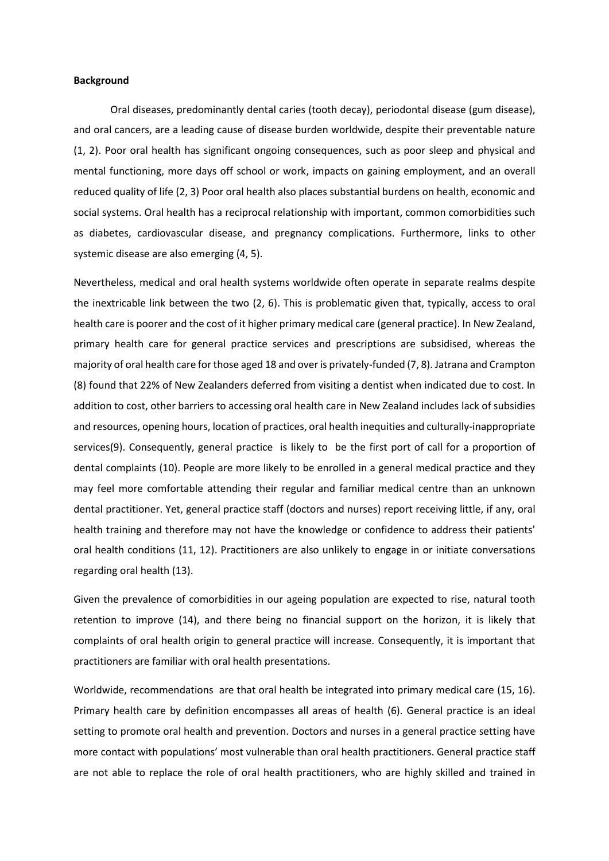## **Background**

Oral diseases, predominantly dental caries (tooth decay), periodontal disease (gum disease), and oral cancers, are a leading cause of disease burden worldwide, despite their preventable nature (1, 2). Poor oral health has significant ongoing consequences, such as poor sleep and physical and mental functioning, more days off school or work, impacts on gaining employment, and an overall reduced quality of life (2, 3) Poor oral health also places substantial burdens on health, economic and social systems. Oral health has a reciprocal relationship with important, common comorbidities such as diabetes, cardiovascular disease, and pregnancy complications. Furthermore, links to other systemic disease are also emerging (4, 5).

Nevertheless, medical and oral health systems worldwide often operate in separate realms despite the inextricable link between the two (2, 6). This is problematic given that, typically, access to oral health care is poorer and the cost of it higher primary medical care (general practice). In New Zealand, primary health care for general practice services and prescriptions are subsidised, whereas the majority of oral health care for those aged 18 and over is privately-funded (7, 8). Jatrana and Crampton (8) found that 22% of New Zealanders deferred from visiting a dentist when indicated due to cost. In addition to cost, other barriers to accessing oral health care in New Zealand includes lack of subsidies and resources, opening hours, location of practices, oral health inequities and culturally-inappropriate services(9). Consequently, general practice is likely to be the first port of call for a proportion of dental complaints (10). People are more likely to be enrolled in a general medical practice and they may feel more comfortable attending their regular and familiar medical centre than an unknown dental practitioner. Yet, general practice staff (doctors and nurses) report receiving little, if any, oral health training and therefore may not have the knowledge or confidence to address their patients' oral health conditions (11, 12). Practitioners are also unlikely to engage in or initiate conversations regarding oral health (13).

Given the prevalence of comorbidities in our ageing population are expected to rise, natural tooth retention to improve (14), and there being no financial support on the horizon, it is likely that complaints of oral health origin to general practice will increase. Consequently, it is important that practitioners are familiar with oral health presentations.

Worldwide, recommendations are that oral health be integrated into primary medical care (15, 16). Primary health care by definition encompasses all areas of health (6). General practice is an ideal setting to promote oral health and prevention. Doctors and nurses in a general practice setting have more contact with populations' most vulnerable than oral health practitioners. General practice staff are not able to replace the role of oral health practitioners, who are highly skilled and trained in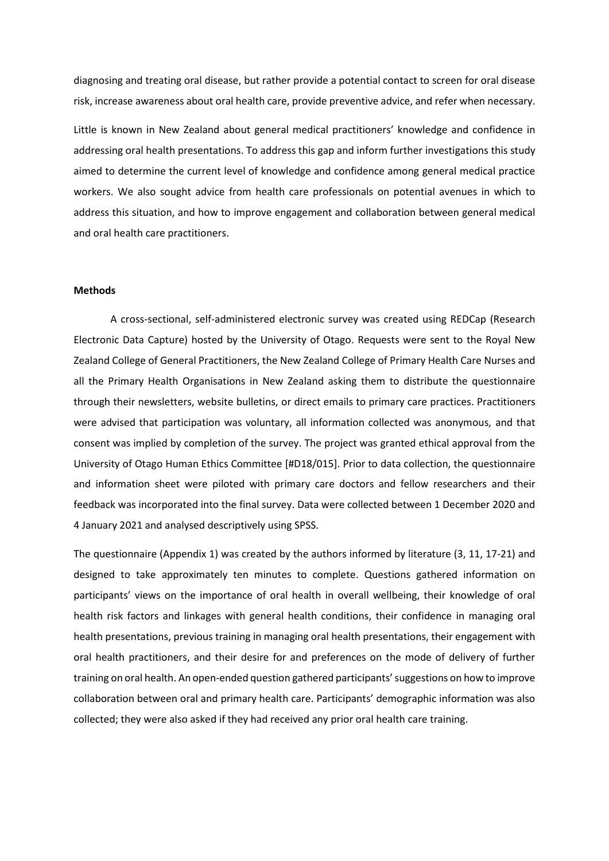diagnosing and treating oral disease, but rather provide a potential contact to screen for oral disease risk, increase awareness about oral health care, provide preventive advice, and refer when necessary.

Little is known in New Zealand about general medical practitioners' knowledge and confidence in addressing oral health presentations. To address this gap and inform further investigations this study aimed to determine the current level of knowledge and confidence among general medical practice workers. We also sought advice from health care professionals on potential avenues in which to address this situation, and how to improve engagement and collaboration between general medical and oral health care practitioners.

## **Methods**

A cross-sectional, self-administered electronic survey was created using REDCap (Research Electronic Data Capture) hosted by the University of Otago. Requests were sent to the Royal New Zealand College of General Practitioners, the New Zealand College of Primary Health Care Nurses and all the Primary Health Organisations in New Zealand asking them to distribute the questionnaire through their newsletters, website bulletins, or direct emails to primary care practices. Practitioners were advised that participation was voluntary, all information collected was anonymous, and that consent was implied by completion of the survey. The project was granted ethical approval from the University of Otago Human Ethics Committee [#D18/015]. Prior to data collection, the questionnaire and information sheet were piloted with primary care doctors and fellow researchers and their feedback was incorporated into the final survey. Data were collected between 1 December 2020 and 4 January 2021 and analysed descriptively using SPSS.

The questionnaire (Appendix 1) was created by the authors informed by literature (3, 11, 17-21) and designed to take approximately ten minutes to complete. Questions gathered information on participants' views on the importance of oral health in overall wellbeing, their knowledge of oral health risk factors and linkages with general health conditions, their confidence in managing oral health presentations, previous training in managing oral health presentations, their engagement with oral health practitioners, and their desire for and preferences on the mode of delivery of further training on oral health. An open-ended question gathered participants' suggestions on how to improve collaboration between oral and primary health care. Participants' demographic information was also collected; they were also asked if they had received any prior oral health care training.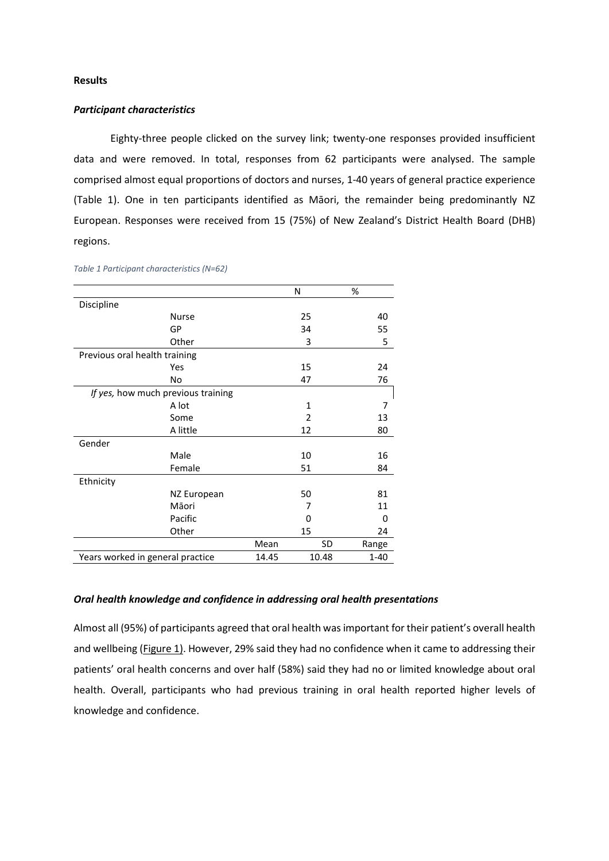## **Results**

## *Participant characteristics*

Eighty-three people clicked on the survey link; twenty-one responses provided insufficient data and were removed. In total, responses from 62 participants were analysed. The sample comprised almost equal proportions of doctors and nurses, 1-40 years of general practice experience (Table 1). One in ten participants identified as Māori, the remainder being predominantly NZ European. Responses were received from 15 (75%) of New Zealand's District Health Board (DHB) regions.

|                                    |              |       | N            | %        |  |
|------------------------------------|--------------|-------|--------------|----------|--|
| Discipline                         |              |       |              |          |  |
|                                    | <b>Nurse</b> |       | 25           | 40       |  |
|                                    | GP           |       | 34           | 55       |  |
|                                    | Other        |       | 3            | 5        |  |
| Previous oral health training      |              |       |              |          |  |
|                                    | Yes          |       | 15           | 24       |  |
|                                    | No           |       | 47           | 76       |  |
| If yes, how much previous training |              |       |              |          |  |
|                                    | A lot        |       | $\mathbf{1}$ | 7        |  |
|                                    | Some         |       | 2            | 13       |  |
|                                    | A little     |       | 12           | 80       |  |
| Gender                             |              |       |              |          |  |
|                                    | Male         |       | 10           | 16       |  |
|                                    | Female       |       | 51           | 84       |  |
| Ethnicity                          |              |       |              |          |  |
|                                    | NZ European  |       | 50           | 81       |  |
|                                    | Māori        |       | 7            | 11       |  |
|                                    | Pacific      |       | 0            | 0        |  |
|                                    | Other        |       | 15           | 24       |  |
|                                    |              | Mean  | SD           | Range    |  |
| Years worked in general practice   |              | 14.45 | 10.48        | $1 - 40$ |  |
|                                    |              |       |              |          |  |

#### *Table 1 Participant characteristics (N=62)*

# *Oral health knowledge and confidence in addressing oral health presentations*

Almost all (95%) of participants agreed that oral health was important for their patient's overall health and wellbeing (Figure 1). However, 29% said they had no confidence when it came to addressing their patients' oral health concerns and over half (58%) said they had no or limited knowledge about oral health. Overall, participants who had previous training in oral health reported higher levels of knowledge and confidence.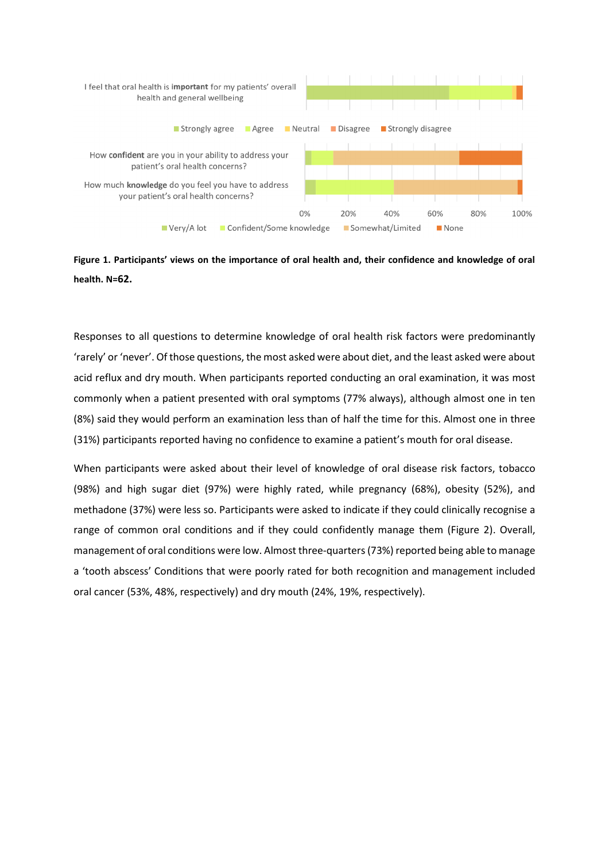

**Figure 1. Participants' views on the importance of oral health and, their confidence and knowledge of oral health. N=62.**

Responses to all questions to determine knowledge of oral health risk factors were predominantly 'rarely' or 'never'. Of those questions, the most asked were about diet, and the least asked were about acid reflux and dry mouth. When participants reported conducting an oral examination, it was most commonly when a patient presented with oral symptoms (77% always), although almost one in ten (8%) said they would perform an examination less than of half the time for this. Almost one in three (31%) participants reported having no confidence to examine a patient's mouth for oral disease.

When participants were asked about their level of knowledge of oral disease risk factors, tobacco (98%) and high sugar diet (97%) were highly rated, while pregnancy (68%), obesity (52%), and methadone (37%) were less so. Participants were asked to indicate if they could clinically recognise a range of common oral conditions and if they could confidently manage them (Figure 2). Overall, management of oral conditions were low. Almost three-quarters (73%) reported being able to manage a 'tooth abscess' Conditions that were poorly rated for both recognition and management included oral cancer (53%, 48%, respectively) and dry mouth (24%, 19%, respectively).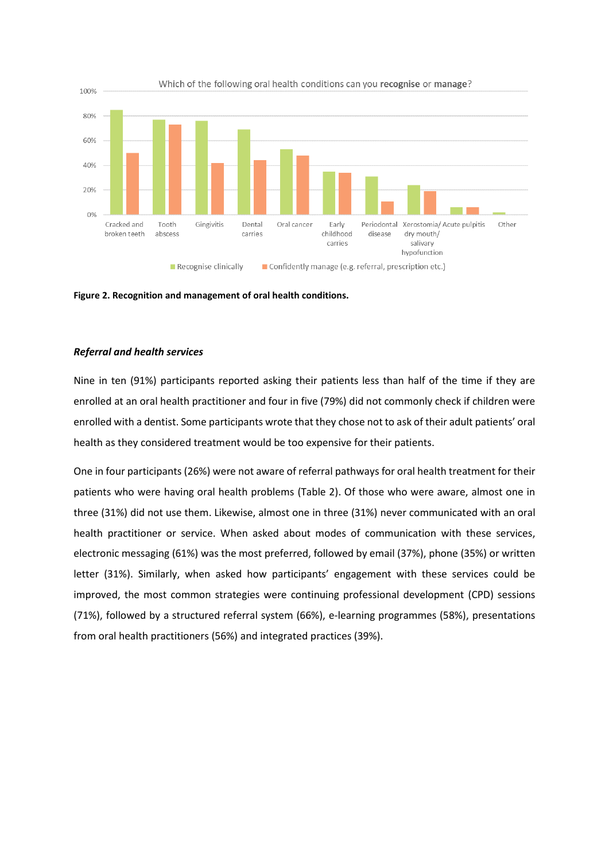

**Figure 2. Recognition and management of oral health conditions.** 

# *Referral and health services*

Nine in ten (91%) participants reported asking their patients less than half of the time if they are enrolled at an oral health practitioner and four in five (79%) did not commonly check if children were enrolled with a dentist. Some participants wrote that they chose not to ask of their adult patients' oral health as they considered treatment would be too expensive for their patients.

One in four participants (26%) were not aware of referral pathways for oral health treatment for their patients who were having oral health problems (Table 2). Of those who were aware, almost one in three (31%) did not use them. Likewise, almost one in three (31%) never communicated with an oral health practitioner or service. When asked about modes of communication with these services, electronic messaging (61%) was the most preferred, followed by email (37%), phone (35%) or written letter (31%). Similarly, when asked how participants' engagement with these services could be improved, the most common strategies were continuing professional development (CPD) sessions (71%), followed by a structured referral system (66%), e-learning programmes (58%), presentations from oral health practitioners (56%) and integrated practices (39%).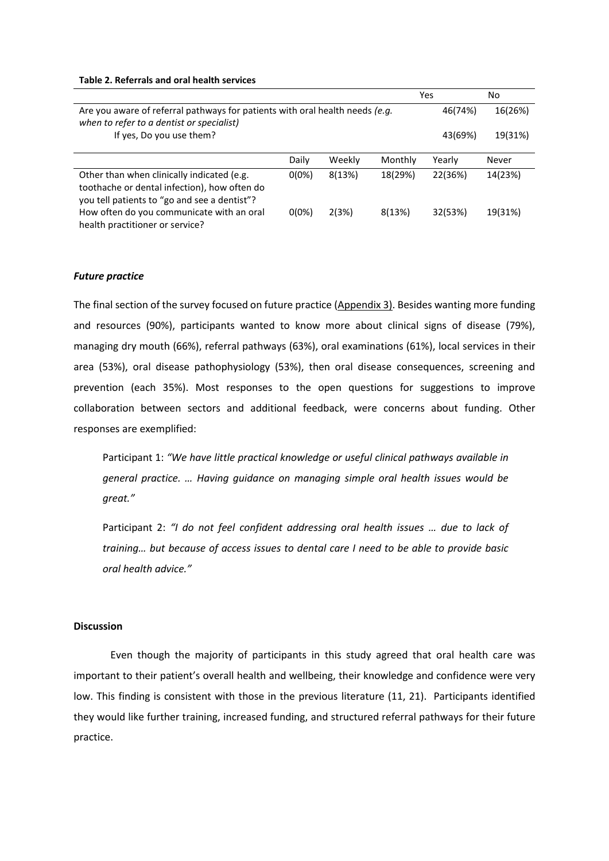|                                                                                                                                            |          |        |         | Yes     | No      |
|--------------------------------------------------------------------------------------------------------------------------------------------|----------|--------|---------|---------|---------|
| Are you aware of referral pathways for patients with oral health needs (e.g.<br>when to refer to a dentist or specialist)                  |          |        |         |         | 16(26%) |
| If yes, Do you use them?                                                                                                                   |          |        |         | 43(69%) | 19(31%) |
|                                                                                                                                            | Daily    | Weekly | Monthly | Yearly  | Never   |
| Other than when clinically indicated (e.g.<br>toothache or dental infection), how often do<br>you tell patients to "go and see a dentist"? | $0(0\%)$ | 8(13%) | 18(29%) | 22(36%) | 14(23%) |
| How often do you communicate with an oral<br>health practitioner or service?                                                               | $0(0\%)$ | 2(3%)  | 8(13%)  | 32(53%) | 19(31%) |

### **Table 2. Referrals and oral health services**

#### *Future practice*

The final section of the survey focused on future practice (Appendix 3). Besides wanting more funding and resources (90%), participants wanted to know more about clinical signs of disease (79%), managing dry mouth (66%), referral pathways (63%), oral examinations (61%), local services in their area (53%), oral disease pathophysiology (53%), then oral disease consequences, screening and prevention (each 35%). Most responses to the open questions for suggestions to improve collaboration between sectors and additional feedback, were concerns about funding. Other responses are exemplified:

Participant 1: *"We have little practical knowledge or useful clinical pathways available in general practice. … Having guidance on managing simple oral health issues would be great."*

Participant 2: *"I do not feel confident addressing oral health issues … due to lack of training… but because of access issues to dental care I need to be able to provide basic oral health advice."*

# **Discussion**

Even though the majority of participants in this study agreed that oral health care was important to their patient's overall health and wellbeing, their knowledge and confidence were very low. This finding is consistent with those in the previous literature (11, 21). Participants identified they would like further training, increased funding, and structured referral pathways for their future practice.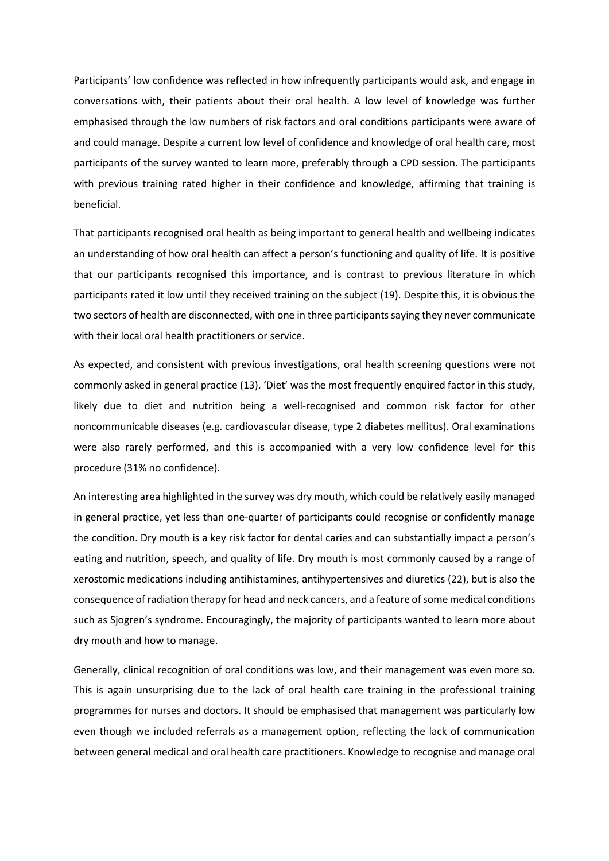Participants' low confidence was reflected in how infrequently participants would ask, and engage in conversations with, their patients about their oral health. A low level of knowledge was further emphasised through the low numbers of risk factors and oral conditions participants were aware of and could manage. Despite a current low level of confidence and knowledge of oral health care, most participants of the survey wanted to learn more, preferably through a CPD session. The participants with previous training rated higher in their confidence and knowledge, affirming that training is beneficial.

That participants recognised oral health as being important to general health and wellbeing indicates an understanding of how oral health can affect a person's functioning and quality of life. It is positive that our participants recognised this importance, and is contrast to previous literature in which participants rated it low until they received training on the subject (19). Despite this, it is obvious the two sectors of health are disconnected, with one in three participants saying they never communicate with their local oral health practitioners or service.

As expected, and consistent with previous investigations, oral health screening questions were not commonly asked in general practice (13). 'Diet' was the most frequently enquired factor in this study, likely due to diet and nutrition being a well-recognised and common risk factor for other noncommunicable diseases (e.g. cardiovascular disease, type 2 diabetes mellitus). Oral examinations were also rarely performed, and this is accompanied with a very low confidence level for this procedure (31% no confidence).

An interesting area highlighted in the survey was dry mouth, which could be relatively easily managed in general practice, yet less than one-quarter of participants could recognise or confidently manage the condition. Dry mouth is a key risk factor for dental caries and can substantially impact a person's eating and nutrition, speech, and quality of life. Dry mouth is most commonly caused by a range of xerostomic medications including antihistamines, antihypertensives and diuretics (22), but is also the consequence of radiation therapy for head and neck cancers, and a feature of some medical conditions such as Sjogren's syndrome. Encouragingly, the majority of participants wanted to learn more about dry mouth and how to manage.

Generally, clinical recognition of oral conditions was low, and their management was even more so. This is again unsurprising due to the lack of oral health care training in the professional training programmes for nurses and doctors. It should be emphasised that management was particularly low even though we included referrals as a management option, reflecting the lack of communication between general medical and oral health care practitioners. Knowledge to recognise and manage oral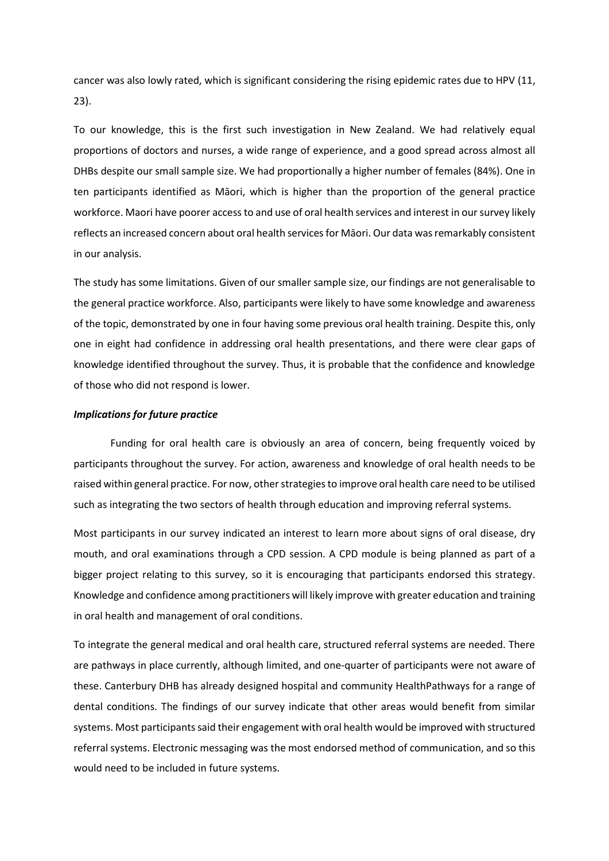cancer was also lowly rated, which is significant considering the rising epidemic rates due to HPV (11, 23).

To our knowledge, this is the first such investigation in New Zealand. We had relatively equal proportions of doctors and nurses, a wide range of experience, and a good spread across almost all DHBs despite our small sample size. We had proportionally a higher number of females (84%). One in ten participants identified as Māori, which is higher than the proportion of the general practice workforce. Maori have poorer access to and use of oral health services and interest in our survey likely reflects an increased concern about oral health services for Māori. Our data wasremarkably consistent in our analysis.

The study has some limitations. Given of our smaller sample size, our findings are not generalisable to the general practice workforce. Also, participants were likely to have some knowledge and awareness of the topic, demonstrated by one in four having some previous oral health training. Despite this, only one in eight had confidence in addressing oral health presentations, and there were clear gaps of knowledge identified throughout the survey. Thus, it is probable that the confidence and knowledge of those who did not respond is lower.

# *Implications for future practice*

Funding for oral health care is obviously an area of concern, being frequently voiced by participants throughout the survey. For action, awareness and knowledge of oral health needs to be raised within general practice. For now, other strategies to improve oral health care need to be utilised such as integrating the two sectors of health through education and improving referral systems.

Most participants in our survey indicated an interest to learn more about signs of oral disease, dry mouth, and oral examinations through a CPD session. A CPD module is being planned as part of a bigger project relating to this survey, so it is encouraging that participants endorsed this strategy. Knowledge and confidence among practitioners will likely improve with greater education and training in oral health and management of oral conditions.

To integrate the general medical and oral health care, structured referral systems are needed. There are pathways in place currently, although limited, and one-quarter of participants were not aware of these. Canterbury DHB has already designed hospital and community HealthPathways for a range of dental conditions. The findings of our survey indicate that other areas would benefit from similar systems. Most participants said their engagement with oral health would be improved with structured referral systems. Electronic messaging was the most endorsed method of communication, and so this would need to be included in future systems.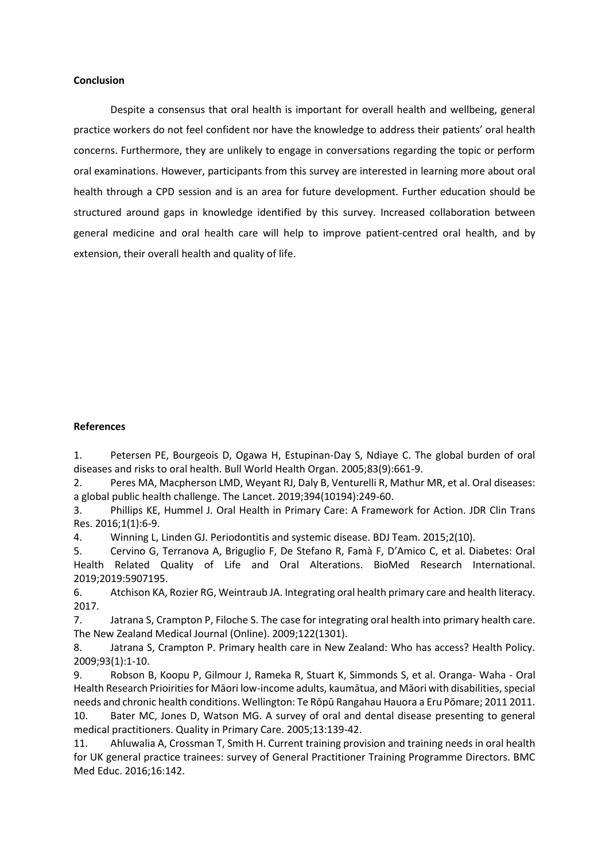## **Conclusion**

Despite a consensus that oral health is important for overall health and wellbeing, general practice workers do not feel confident nor have the knowledge to address their patients' oral health concerns. Furthermore, they are unlikely to engage in conversations regarding the topic or perform oral examinations. However, participants from this survey are interested in learning more about oral health through a CPD session and is an area for future development. Further education should be structured around gaps in knowledge identified by this survey. Increased collaboration between general medicine and oral health care will help to improve patient-centred oral health, and by extension, their overall health and quality of life.

#### **References**

1. Petersen PE, Bourgeois D, Ogawa H, Estupinan-Day S, Ndiaye C. The global burden of oral diseases and risks to oral health. Bull World Health Organ. 2005;83(9):661-9.

2. Peres MA, Macpherson LMD, Weyant RJ, Daly B, Venturelli R, Mathur MR, et al. Oral diseases: a global public health challenge. The Lancet. 2019;394(10194):249-60.

3. Phillips KE, Hummel J. Oral Health in Primary Care: A Framework for Action. JDR Clin Trans Res. 2016;1(1):6-9.

4. Winning L, Linden GJ. Periodontitis and systemic disease. BDJ Team. 2015;2(10).

5. Cervino G, Terranova A, Briguglio F, De Stefano R, Famà F, D'Amico C, et al. Diabetes: Oral Health Related Quality of Life and Oral Alterations. BioMed Research International. 2019;2019:5907195.

6. Atchison KA, Rozier RG, Weintraub JA. Integrating oral health primary care and health literacy. 2017.

7. Jatrana S, Crampton P, Filoche S. The case for integrating oral health into primary health care. The New Zealand Medical Journal (Online). 2009;122(1301).

8. Jatrana S, Crampton P. Primary health care in New Zealand: Who has access? Health Policy. 2009;93(1):1-10.

9. Robson B, Koopu P, Gilmour J, Rameka R, Stuart K, Simmonds S, et al. Oranga- Waha - Oral Health Research Prioirities for Māori low-income adults, kaumātua, and Māori with disabilities, special needs and chronic health conditions. Wellington: Te Rōpū Rangahau Hauora a Eru Pōmare; 2011 2011. 10. Bater MC, Jones D, Watson MG. A survey of oral and dental disease presenting to general medical practitioners. Quality in Primary Care. 2005;13:139-42.

11. Ahluwalia A, Crossman T, Smith H. Current training provision and training needs in oral health for UK general practice trainees: survey of General Practitioner Training Programme Directors. BMC Med Educ. 2016;16:142.